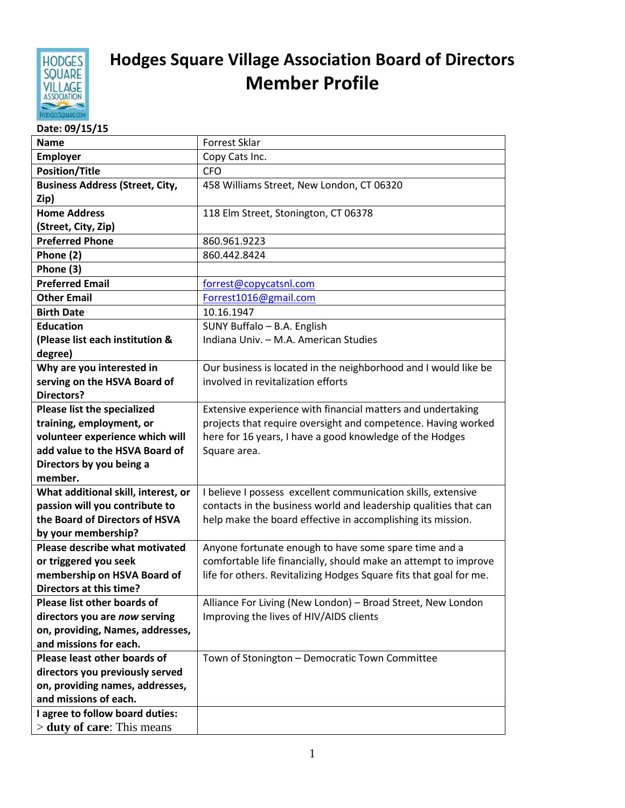

## **Hodges Square Village Association Board of Directors Member Profile**

## **Date: 09/15/15**

| <b>Name</b>                                                       | <b>Forrest Sklar</b>                                                                                   |
|-------------------------------------------------------------------|--------------------------------------------------------------------------------------------------------|
| <b>Employer</b>                                                   | Copy Cats Inc.                                                                                         |
| <b>Position/Title</b>                                             | <b>CFO</b>                                                                                             |
| <b>Business Address (Street, City,</b>                            | 458 Williams Street, New London, CT 06320                                                              |
| Zip)                                                              |                                                                                                        |
| <b>Home Address</b>                                               | 118 Elm Street, Stonington, CT 06378                                                                   |
| (Street, City, Zip)                                               |                                                                                                        |
| <b>Preferred Phone</b>                                            | 860.961.9223                                                                                           |
| Phone (2)                                                         | 860.442.8424                                                                                           |
| Phone (3)                                                         |                                                                                                        |
| <b>Preferred Email</b>                                            | forrest@copycatsnl.com                                                                                 |
| <b>Other Email</b>                                                | Forrest1016@gmail.com                                                                                  |
| <b>Birth Date</b>                                                 | 10.16.1947                                                                                             |
| <b>Education</b>                                                  | SUNY Buffalo - B.A. English                                                                            |
| (Please list each institution &                                   | Indiana Univ. - M.A. American Studies                                                                  |
| degree)                                                           |                                                                                                        |
| Why are you interested in                                         | Our business is located in the neighborhood and I would like be                                        |
| serving on the HSVA Board of                                      | involved in revitalization efforts                                                                     |
| <b>Directors?</b>                                                 |                                                                                                        |
| Please list the specialized                                       | Extensive experience with financial matters and undertaking                                            |
| training, employment, or                                          | projects that require oversight and competence. Having worked                                          |
| volunteer experience which will                                   | here for 16 years, I have a good knowledge of the Hodges                                               |
| add value to the HSVA Board of                                    | Square area.                                                                                           |
| Directors by you being a                                          |                                                                                                        |
| member.                                                           |                                                                                                        |
| What additional skill, interest, or                               | I believe I possess excellent communication skills, extensive                                          |
| passion will you contribute to                                    | contacts in the business world and leadership qualities that can                                       |
| the Board of Directors of HSVA                                    | help make the board effective in accomplishing its mission.                                            |
| by your membership?                                               |                                                                                                        |
| Please describe what motivated                                    | Anyone fortunate enough to have some spare time and a                                                  |
| or triggered you seek                                             | comfortable life financially, should make an attempt to improve                                        |
| membership on HSVA Board of<br><b>Directors at this time?</b>     | life for others. Revitalizing Hodges Square fits that goal for me.                                     |
| Please list other boards of                                       |                                                                                                        |
|                                                                   | Alliance For Living (New London) - Broad Street, New London<br>Improving the lives of HIV/AIDS clients |
| directors you are now serving<br>on, providing, Names, addresses, |                                                                                                        |
| and missions for each.                                            |                                                                                                        |
| Please least other boards of                                      |                                                                                                        |
|                                                                   | Town of Stonington - Democratic Town Committee                                                         |
| directors you previously served                                   |                                                                                                        |
| on, providing names, addresses,<br>and missions of each.          |                                                                                                        |
| I agree to follow board duties:                                   |                                                                                                        |
| $>$ duty of care: This means                                      |                                                                                                        |
|                                                                   |                                                                                                        |